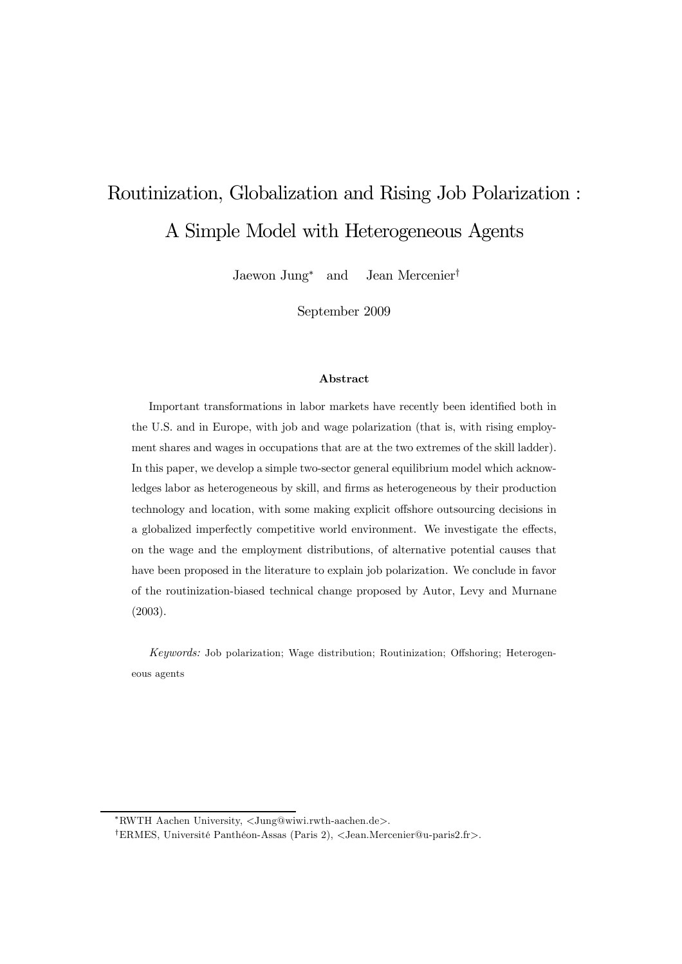# Routinization, Globalization and Rising Job Polarization : A Simple Model with Heterogeneous Agents

Jaewon Jung<sup>∗</sup> and Jean Mercenier†

September 2009

#### Abstract

Important transformations in labor markets have recently been identified both in the U.S. and in Europe, with job and wage polarization (that is, with rising employment shares and wages in occupations that are at the two extremes of the skill ladder). In this paper, we develop a simple two-sector general equilibrium model which acknowledges labor as heterogeneous by skill, and firms as heterogeneous by their production technology and location, with some making explicit offshore outsourcing decisions in a globalized imperfectly competitive world environment. We investigate the effects, on the wage and the employment distributions, of alternative potential causes that have been proposed in the literature to explain job polarization. We conclude in favor of the routinization-biased technical change proposed by Autor, Levy and Murnane (2003).

*Keywords:* Job polarization; Wage distribution; Routinization; Offshoring; Heterogeneous agents

<sup>∗</sup>RWTH Aachen University, <Jung@wiwi.rwth-aachen.de>.

<sup>†</sup>ERMES, Université Panthéon-Assas (Paris 2), <Jean.Mercenier@u-paris2.fr>.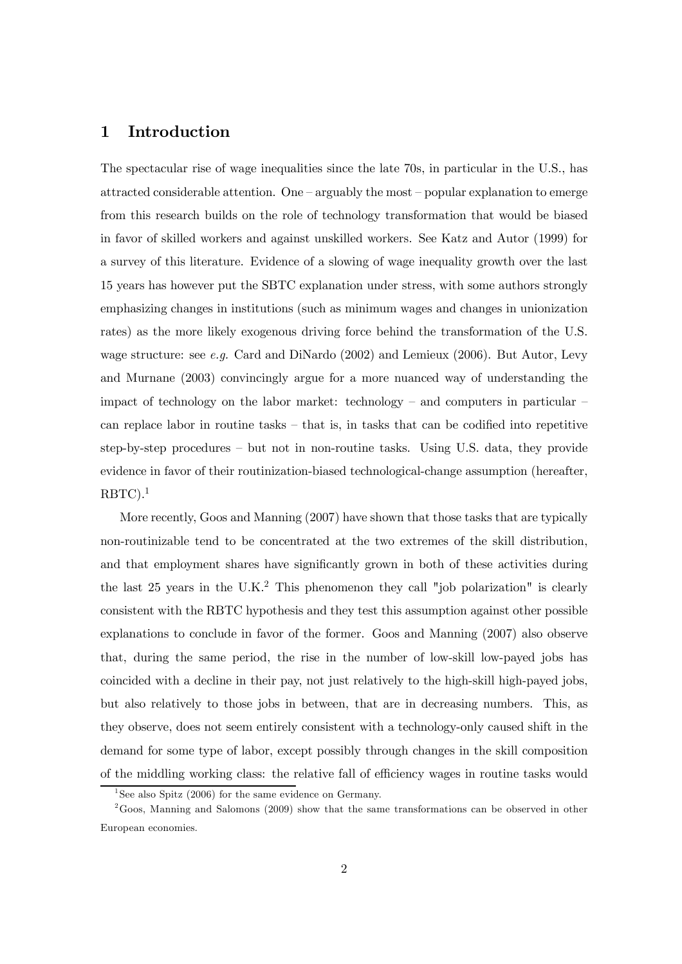## 1 Introduction

The spectacular rise of wage inequalities since the late 70s, in particular in the U.S., has attracted considerable attention. One  $-$  arguably the most  $-$  popular explanation to emerge from this research builds on the role of technology transformation that would be biased in favor of skilled workers and against unskilled workers. See Katz and Autor (1999) for a survey of this literature. Evidence of a slowing of wage inequality growth over the last 15 years has however put the SBTC explanation under stress, with some authors strongly emphasizing changes in institutions (such as minimum wages and changes in unionization rates) as the more likely exogenous driving force behind the transformation of the U.S. wage structure: see *e.g.* Card and DiNardo (2002) and Lemieux (2006). But Autor, Levy and Murnane (2003) convincingly argue for a more nuanced way of understanding the impact of technology on the labor market: technology – and computers in particular – can replace labor in routine tasks — that is, in tasks that can be codified into repetitive step-by-step procedures — but not in non-routine tasks. Using U.S. data, they provide evidence in favor of their routinization-biased technological-change assumption (hereafter,  $RBTC$ ).<sup>1</sup>

More recently, Goos and Manning (2007) have shown that those tasks that are typically non-routinizable tend to be concentrated at the two extremes of the skill distribution, and that employment shares have significantly grown in both of these activities during the last 25 years in the U.K.<sup>2</sup> This phenomenon they call "job polarization" is clearly consistent with the RBTC hypothesis and they test this assumption against other possible explanations to conclude in favor of the former. Goos and Manning (2007) also observe that, during the same period, the rise in the number of low-skill low-payed jobs has coincided with a decline in their pay, not just relatively to the high-skill high-payed jobs, but also relatively to those jobs in between, that are in decreasing numbers. This, as they observe, does not seem entirely consistent with a technology-only caused shift in the demand for some type of labor, except possibly through changes in the skill composition of the middling working class: the relative fall of efficiency wages in routine tasks would

<sup>&</sup>lt;sup>1</sup>See also Spitz (2006) for the same evidence on Germany.

 $2\text{Goos}$ , Manning and Salomons (2009) show that the same transformations can be observed in other European economies.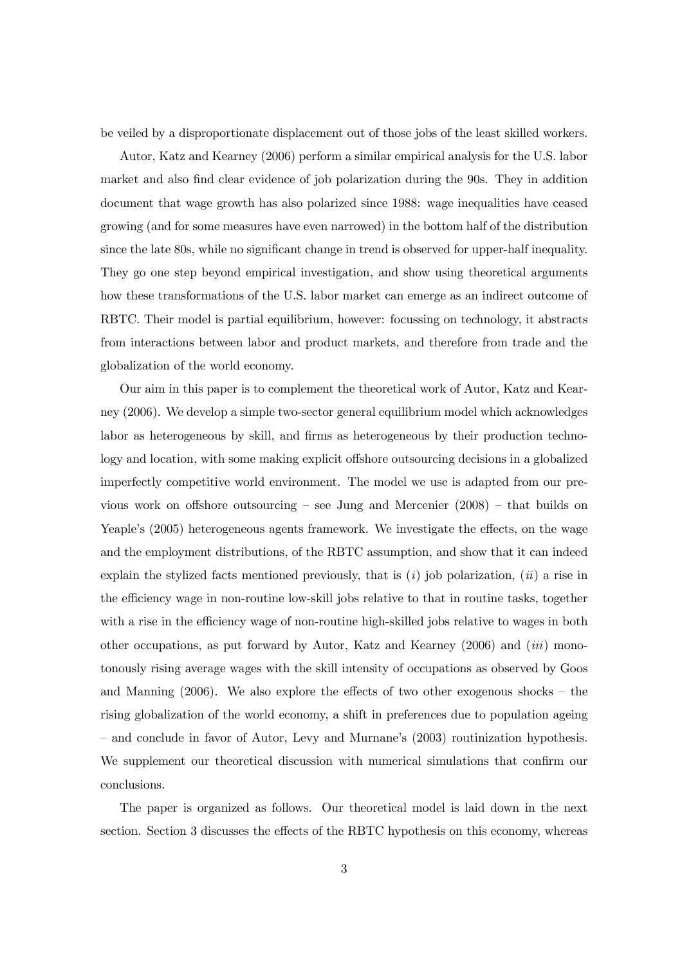be veiled by a disproportionate displacement out of those jobs of the least skilled workers.

Autor, Katz and Kearney (2006) perform a similar empirical analysis for the U.S. labor market and also find clear evidence of job polarization during the 90s. They in addition document that wage growth has also polarized since 1988: wage inequalities have ceased growing (and for some measures have even narrowed) in the bottom half of the distribution since the late 80s, while no significant change in trend is observed for upper-half inequality. They go one step beyond empirical investigation, and show using theoretical arguments how these transformations of the U.S. labor market can emerge as an indirect outcome of RBTC. Their model is partial equilibrium, however: focussing on technology, it abstracts from interactions between labor and product markets, and therefore from trade and the globalization of the world economy.

Our aim in this paper is to complement the theoretical work of Autor, Katz and Kearney (2006). We develop a simple two-sector general equilibrium model which acknowledges labor as heterogeneous by skill, and firms as heterogeneous by their production technology and location, with some making explicit offshore outsourcing decisions in a globalized imperfectly competitive world environment. The model we use is adapted from our previous work on offshore outsourcing – see Jung and Mercenier  $(2008)$  – that builds on Yeaple's (2005) heterogeneous agents framework. We investigate the effects, on the wage and the employment distributions, of the RBTC assumption, and show that it can indeed explain the stylized facts mentioned previously, that is (*i*) job polarization, (*ii*) a rise in the efficiency wage in non-routine low-skill jobs relative to that in routine tasks, together with a rise in the efficiency wage of non-routine high-skilled jobs relative to wages in both other occupations, as put forward by Autor, Katz and Kearney (2006) and (*iii*) monotonously rising average wages with the skill intensity of occupations as observed by Goos and Manning  $(2006)$ . We also explore the effects of two other exogenous shocks – the rising globalization of the world economy, a shift in preferences due to population ageing — and conclude in favor of Autor, Levy and Murnane's (2003) routinization hypothesis. We supplement our theoretical discussion with numerical simulations that confirm our conclusions.

The paper is organized as follows. Our theoretical model is laid down in the next section. Section 3 discusses the effects of the RBTC hypothesis on this economy, whereas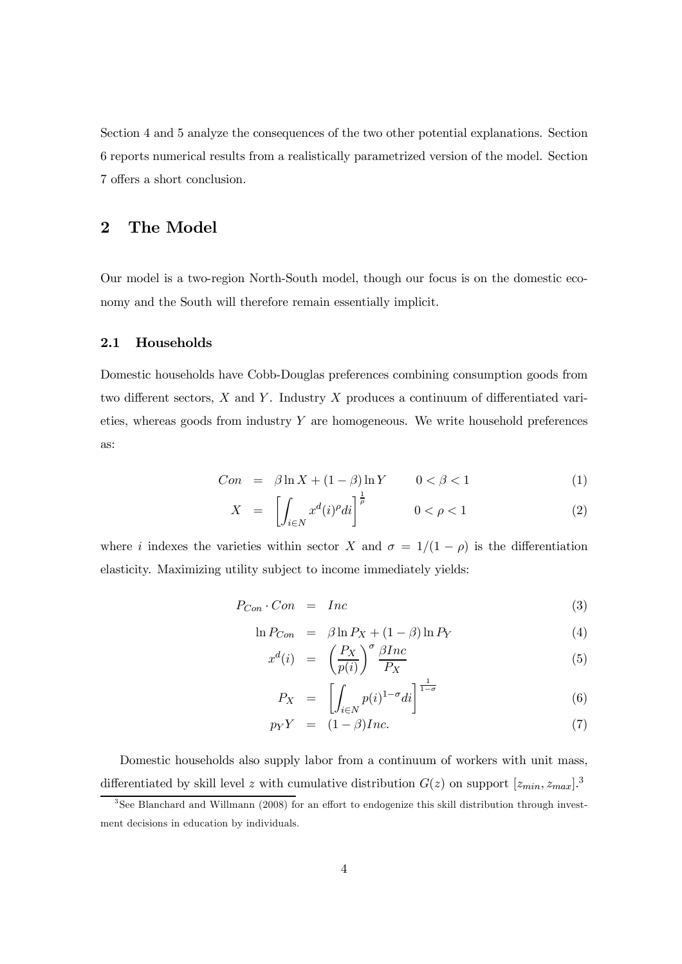Section 4 and 5 analyze the consequences of the two other potential explanations. Section 6 reports numerical results from a realistically parametrized version of the model. Section 7 offers a short conclusion.

## 2 The Model

Our model is a two-region North-South model, though our focus is on the domestic economy and the South will therefore remain essentially implicit.

#### 2.1 Households

Domestic households have Cobb-Douglas preferences combining consumption goods from two different sectors,  $X$  and  $Y$ . Industry  $X$  produces a continuum of differentiated varieties, whereas goods from industry Y are homogeneous. We write household preferences as:

$$
Con = \beta \ln X + (1 - \beta) \ln Y \qquad 0 < \beta < 1 \tag{1}
$$

$$
X = \left[ \int_{i \in N} x^d (i)^{\rho} d i \right]^{\frac{1}{\rho}} \qquad 0 < \rho < 1 \tag{2}
$$

where i indexes the varieties within sector X and  $\sigma = 1/(1 - \rho)$  is the differentiation elasticity. Maximizing utility subject to income immediately yields:

$$
P_{Con} \cdot Con = Inc \tag{3}
$$

$$
\ln P_{Con} = \beta \ln P_X + (1 - \beta) \ln P_Y \tag{4}
$$

$$
x^{d}(i) = \left(\frac{P_X}{p(i)}\right)^{\sigma} \frac{\beta Inc}{P_X} \tag{5}
$$

$$
P_X = \left[ \int_{i \in N} p(i)^{1-\sigma} di \right]^{\frac{1}{1-\sigma}} \tag{6}
$$

$$
p_Y Y = (1 - \beta) Inc.
$$
 (7)

Domestic households also supply labor from a continuum of workers with unit mass, differentiated by skill level z with cumulative distribution  $G(z)$  on support  $[z_{min}, z_{max}]$ .<sup>3</sup>

<sup>3</sup> See Blanchard and Willmann (2008) for an effort to endogenize this skill distribution through investment decisions in education by individuals.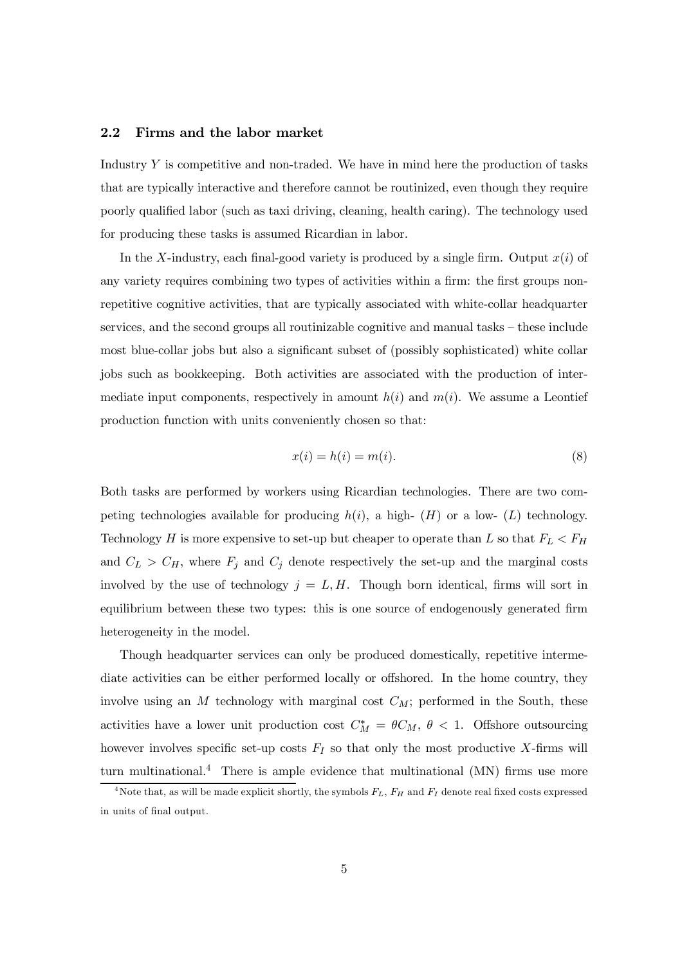#### 2.2 Firms and the labor market

Industry Y is competitive and non-traded. We have in mind here the production of tasks that are typically interactive and therefore cannot be routinized, even though they require poorly qualified labor (such as taxi driving, cleaning, health caring). The technology used for producing these tasks is assumed Ricardian in labor.

In the X-industry, each final-good variety is produced by a single firm. Output  $x(i)$  of any variety requires combining two types of activities within a firm: the first groups nonrepetitive cognitive activities, that are typically associated with white-collar headquarter services, and the second groups all routinizable cognitive and manual tasks — these include most blue-collar jobs but also a significant subset of (possibly sophisticated) white collar jobs such as bookkeeping. Both activities are associated with the production of intermediate input components, respectively in amount  $h(i)$  and  $m(i)$ . We assume a Leontief production function with units conveniently chosen so that:

$$
x(i) = h(i) = m(i). \tag{8}
$$

Both tasks are performed by workers using Ricardian technologies. There are two competing technologies available for producing  $h(i)$ , a high-  $(H)$  or a low-  $(L)$  technology. Technology H is more expensive to set-up but cheaper to operate than L so that  $F_L < F_H$ and  $C_L > C_H$ , where  $F_j$  and  $C_j$  denote respectively the set-up and the marginal costs involved by the use of technology  $j = L, H$ . Though born identical, firms will sort in equilibrium between these two types: this is one source of endogenously generated firm heterogeneity in the model.

Though headquarter services can only be produced domestically, repetitive intermediate activities can be either performed locally or offshored. In the home country, they involve using an  $M$  technology with marginal cost  $C_M$ ; performed in the South, these activities have a lower unit production cost  $C_M^* = \theta C_M$ ,  $\theta < 1$ . Offshore outsourcing however involves specific set-up costs  $F_I$  so that only the most productive X-firms will turn multinational.<sup>4</sup> There is ample evidence that multinational  $(MN)$  firms use more

<sup>&</sup>lt;sup>4</sup>Note that, as will be made explicit shortly, the symbols  $F_L$ ,  $F_H$  and  $F_I$  denote real fixed costs expressed in units of final output.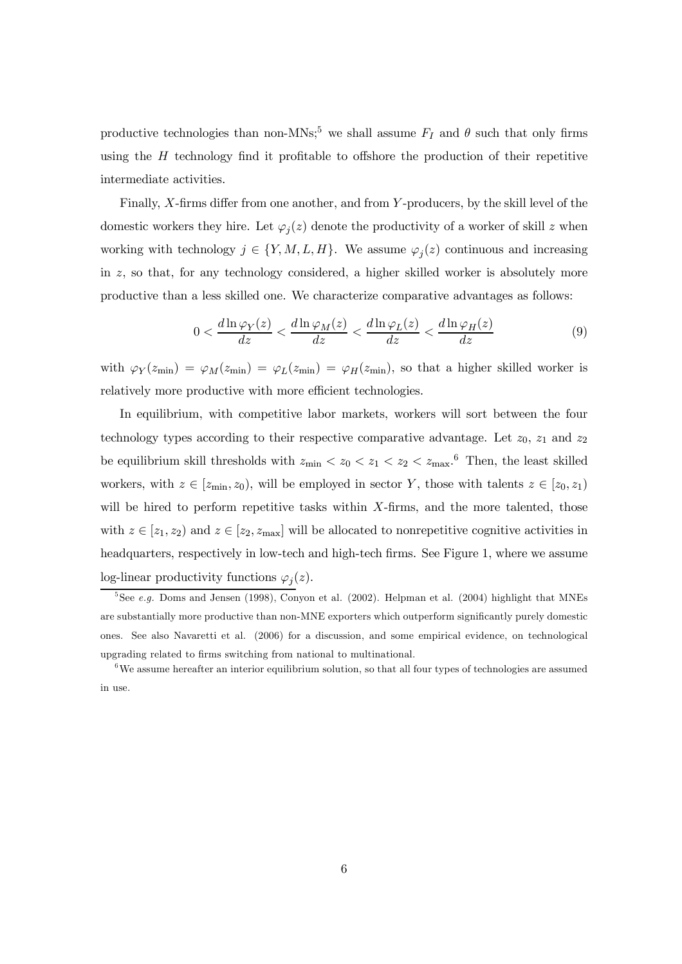productive technologies than non-MNs;<sup>5</sup> we shall assume  $F_I$  and  $\theta$  such that only firms using the  $H$  technology find it profitable to offshore the production of their repetitive intermediate activities.

Finally, X-firms differ from one another, and from Y -producers, by the skill level of the domestic workers they hire. Let  $\varphi_j(z)$  denote the productivity of a worker of skill z when working with technology  $j \in \{Y, M, L, H\}$ . We assume  $\varphi_j(z)$  continuous and increasing in z, so that, for any technology considered, a higher skilled worker is absolutely more productive than a less skilled one. We characterize comparative advantages as follows:

$$
0 < \frac{d \ln \varphi_Y(z)}{dz} < \frac{d \ln \varphi_M(z)}{dz} < \frac{d \ln \varphi_L(z)}{dz} < \frac{d \ln \varphi_H(z)}{dz} \tag{9}
$$

with  $\varphi_Y(z_{\min}) = \varphi_M(z_{\min}) = \varphi_L(z_{\min}) = \varphi_H(z_{\min})$ , so that a higher skilled worker is relatively more productive with more efficient technologies.

In equilibrium, with competitive labor markets, workers will sort between the four technology types according to their respective comparative advantage. Let  $z_0$ ,  $z_1$  and  $z_2$ be equilibrium skill thresholds with  $z_{\rm min} < z_0 < z_1 < z_2 < z_{\rm max}$ .<sup>6</sup> Then, the least skilled workers, with  $z \in [z_{\min}, z_0)$ , will be employed in sector Y, those with talents  $z \in [z_0, z_1)$ will be hired to perform repetitive tasks within  $X$ -firms, and the more talented, those with  $z \in [z_1, z_2)$  and  $z \in [z_2, z_{\text{max}}]$  will be allocated to nonrepetitive cognitive activities in headquarters, respectively in low-tech and high-tech firms. See Figure 1, where we assume log-linear productivity functions  $\varphi_j(z)$ .

<sup>&</sup>lt;sup>5</sup>See *e.g.* Doms and Jensen (1998), Conyon et al. (2002). Helpman et al. (2004) highlight that MNEs are substantially more productive than non-MNE exporters which outperform significantly purely domestic ones. See also Navaretti et al. (2006) for a discussion, and some empirical evidence, on technological upgrading related to firms switching from national to multinational.

<sup>6</sup>We assume hereafter an interior equilibrium solution, so that all four types of technologies are assumed in use.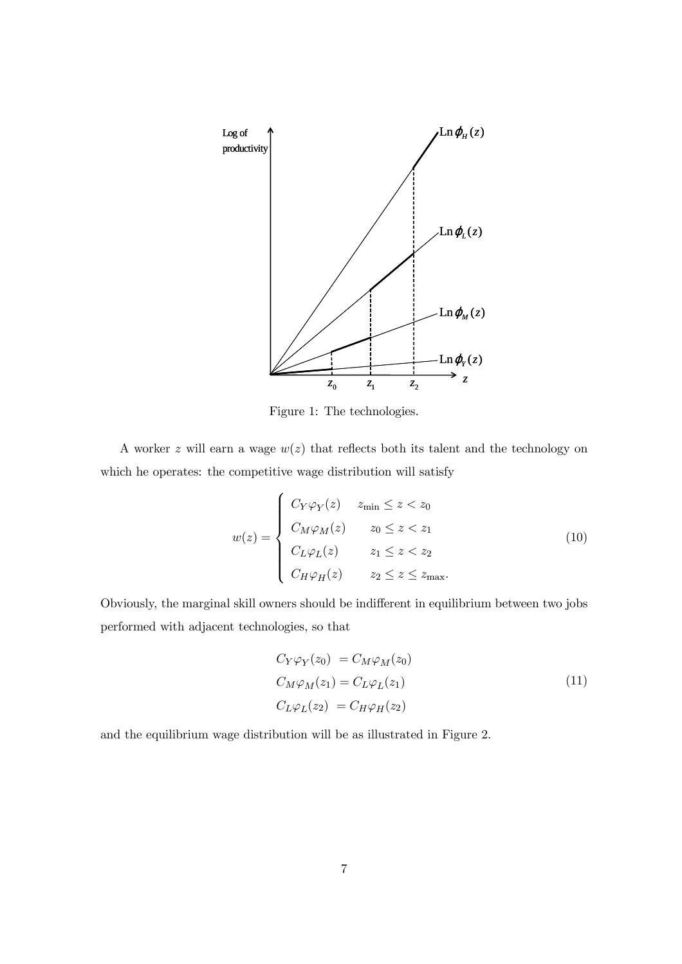

Figure 1: The technologies.

A worker z will earn a wage  $w(z)$  that reflects both its talent and the technology on which he operates: the competitive wage distribution will satisfy

$$
w(z) = \begin{cases} C_Y \varphi_Y(z) & z_{\min} \le z < z_0 \\ C_M \varphi_M(z) & z_0 \le z < z_1 \\ C_L \varphi_L(z) & z_1 \le z < z_2 \\ C_H \varphi_H(z) & z_2 \le z \le z_{\max}. \end{cases} \tag{10}
$$

Obviously, the marginal skill owners should be indifferent in equilibrium between two jobs performed with adjacent technologies, so that

$$
C_Y \varphi_Y(z_0) = C_M \varphi_M(z_0)
$$
  
\n
$$
C_M \varphi_M(z_1) = C_L \varphi_L(z_1)
$$
  
\n
$$
C_L \varphi_L(z_2) = C_H \varphi_H(z_2)
$$
\n(11)

and the equilibrium wage distribution will be as illustrated in Figure 2.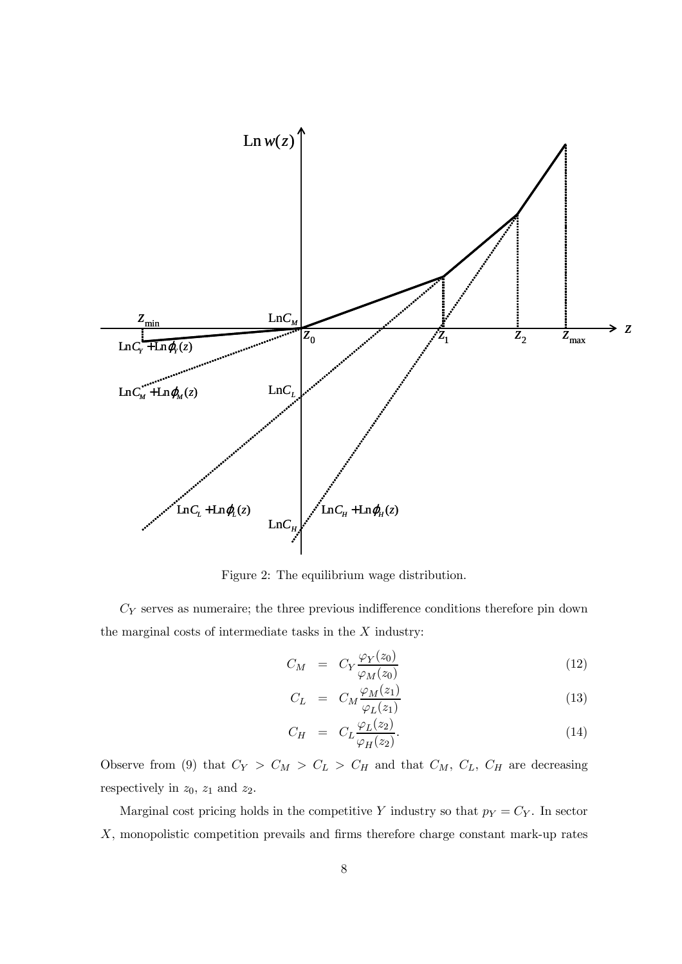

Figure 2: The equilibrium wage distribution.

 $C_Y$  serves as numeraire; the three previous indifference conditions therefore pin down the marginal costs of intermediate tasks in the  $X$  industry:

$$
C_M = C_Y \frac{\varphi_Y(z_0)}{\varphi_M(z_0)} \tag{12}
$$

$$
C_L = C_M \frac{\varphi_M(z_1)}{\varphi_L(z_1)} \tag{13}
$$

$$
C_H = C_L \frac{\varphi_L(z_2)}{\varphi_H(z_2)}.
$$
\n(14)

Observe from (9) that  $C_Y > C_M > C_L > C_H$  and that  $C_M$ ,  $C_L$ ,  $C_H$  are decreasing respectively in  $z_0$ ,  $z_1$  and  $z_2$ .

Marginal cost pricing holds in the competitive Y industry so that  $p_Y = C_Y$ . In sector X, monopolistic competition prevails and firms therefore charge constant mark-up rates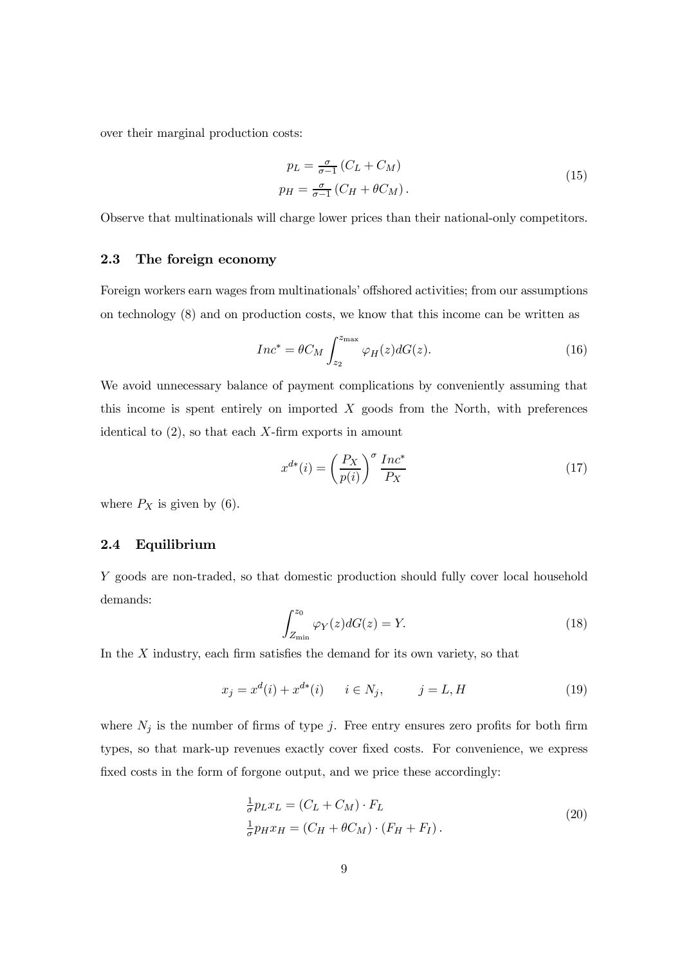over their marginal production costs:

$$
p_L = \frac{\sigma}{\sigma - 1} \left( C_L + C_M \right)
$$
  
\n
$$
p_H = \frac{\sigma}{\sigma - 1} \left( C_H + \theta C_M \right).
$$
\n(15)

Observe that multinationals will charge lower prices than their national-only competitors.

#### 2.3 The foreign economy

Foreign workers earn wages from multinationals' offshored activities; from our assumptions on technology (8) and on production costs, we know that this income can be written as

$$
Inc^* = \theta C_M \int_{z_2}^{z_{\text{max}}} \varphi_H(z) dG(z). \tag{16}
$$

We avoid unnecessary balance of payment complications by conveniently assuming that this income is spent entirely on imported  $X$  goods from the North, with preferences identical to  $(2)$ , so that each X-firm exports in amount

$$
x^{d*}(i) = \left(\frac{P_X}{p(i)}\right)^{\sigma} \frac{Inc^*}{P_X} \tag{17}
$$

where  $P_X$  is given by (6).

#### 2.4 Equilibrium

Y goods are non-traded, so that domestic production should fully cover local household demands:

$$
\int_{Z_{\rm min}}^{z_0} \varphi_Y(z) dG(z) = Y.
$$
 (18)

In the  $X$  industry, each firm satisfies the demand for its own variety, so that

$$
x_j = x^d(i) + x^{d*}(i) \qquad i \in N_j, \qquad j = L, H \tag{19}
$$

where  $N_j$  is the number of firms of type j. Free entry ensures zero profits for both firm types, so that mark-up revenues exactly cover fixed costs. For convenience, we express fixed costs in the form of forgone output, and we price these accordingly:

$$
\frac{1}{\sigma} p_L x_L = (C_L + C_M) \cdot F_L
$$
\n
$$
\frac{1}{\sigma} p_H x_H = (C_H + \theta C_M) \cdot (F_H + F_I).
$$
\n(20)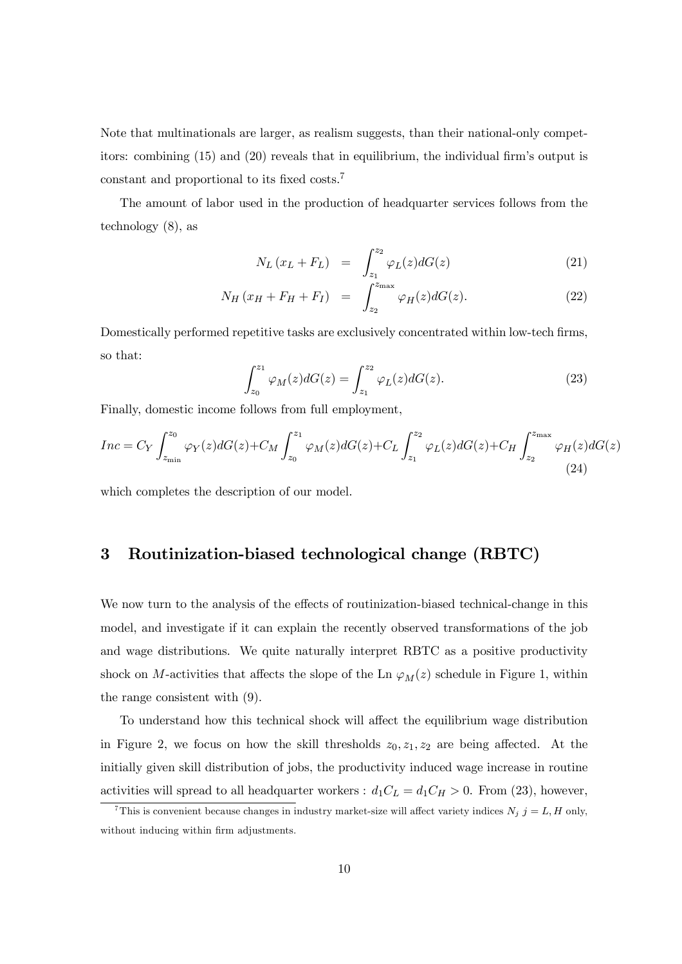Note that multinationals are larger, as realism suggests, than their national-only competitors: combining (15) and (20) reveals that in equilibrium, the individual firm's output is constant and proportional to its fixed costs.<sup>7</sup>

The amount of labor used in the production of headquarter services follows from the technology (8), as

$$
N_L (x_L + F_L) = \int_{z_1}^{z_2} \varphi_L(z) dG(z)
$$
 (21)

$$
N_H (x_H + F_H + F_I) = \int_{z_2}^{z_{\text{max}}} \varphi_H(z) dG(z).
$$
 (22)

Domestically performed repetitive tasks are exclusively concentrated within low-tech firms, so that:

$$
\int_{z_0}^{z_1} \varphi_M(z) dG(z) = \int_{z_1}^{z_2} \varphi_L(z) dG(z).
$$
 (23)

Finally, domestic income follows from full employment,

$$
Inc = C_Y \int_{z_{\min}}^{z_0} \varphi_Y(z) dG(z) + C_M \int_{z_0}^{z_1} \varphi_M(z) dG(z) + C_L \int_{z_1}^{z_2} \varphi_L(z) dG(z) + C_H \int_{z_2}^{z_{\max}} \varphi_H(z) dG(z)
$$
\n(24)

which completes the description of our model.

## 3 Routinization-biased technological change (RBTC)

We now turn to the analysis of the effects of routinization-biased technical-change in this model, and investigate if it can explain the recently observed transformations of the job and wage distributions. We quite naturally interpret RBTC as a positive productivity shock on M-activities that affects the slope of the Ln  $\varphi_M(z)$  schedule in Figure 1, within the range consistent with (9).

To understand how this technical shock will affect the equilibrium wage distribution in Figure 2, we focus on how the skill thresholds  $z_0, z_1, z_2$  are being affected. At the initially given skill distribution of jobs, the productivity induced wage increase in routine activities will spread to all headquarter workers :  $d_1C_L = d_1C_H > 0$ . From (23), however,

<sup>&</sup>lt;sup>7</sup>This is convenient because changes in industry market-size will affect variety indices  $N_j$  j = L, H only, without inducing within firm adjustments.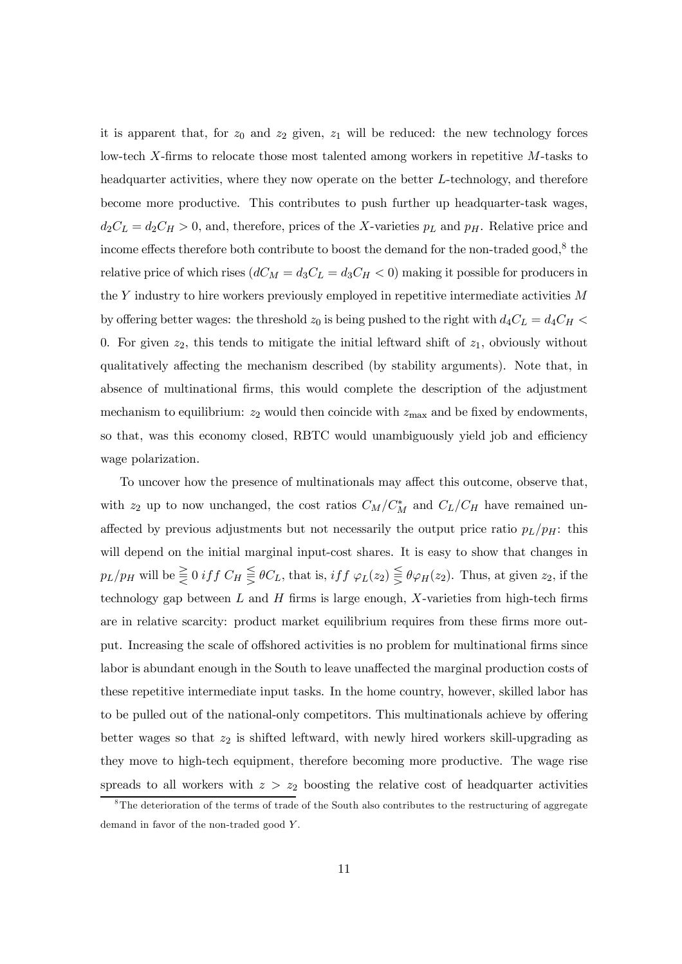it is apparent that, for  $z_0$  and  $z_2$  given,  $z_1$  will be reduced: the new technology forces low-tech  $X$ -firms to relocate those most talented among workers in repetitive  $M$ -tasks to headquarter activities, where they now operate on the better L-technology, and therefore become more productive. This contributes to push further up headquarter-task wages,  $d_2C_L = d_2C_H > 0$ , and, therefore, prices of the X-varieties  $p_L$  and  $p_H$ . Relative price and income effects therefore both contribute to boost the demand for the non-traded good,<sup>8</sup> the relative price of which rises  $(dC_M = d_3C_L = d_3C_H < 0)$  making it possible for producers in the  $Y$  industry to hire workers previously employed in repetitive intermediate activities  $M$ by offering better wages: the threshold  $z_0$  is being pushed to the right with  $d_4C_L = d_4C_H$ 0. For given  $z_2$ , this tends to mitigate the initial leftward shift of  $z_1$ , obviously without qualitatively affecting the mechanism described (by stability arguments). Note that, in absence of multinational firms, this would complete the description of the adjustment mechanism to equilibrium:  $z_2$  would then coincide with  $z_{\text{max}}$  and be fixed by endowments, so that, was this economy closed, RBTC would unambiguously yield job and efficiency wage polarization.

To uncover how the presence of multinationals may affect this outcome, observe that, with  $z_2$  up to now unchanged, the cost ratios  $C_M/C_M^*$  and  $C_L/C_H$  have remained unaffected by previous adjustments but not necessarily the output price ratio  $p_L/p_H$ : this will depend on the initial marginal input-cost shares. It is easy to show that changes in  $p_L/p_H$  will be  $\leq 0$  if  $f C_H \geq \theta C_L$ , that is, if  $f \varphi_L(z_2) \geq \theta \varphi_H(z_2)$ . Thus, at given  $z_2$ , if the technology gap between  $L$  and  $H$  firms is large enough,  $X$ -varieties from high-tech firms are in relative scarcity: product market equilibrium requires from these firms more output. Increasing the scale of offshored activities is no problem for multinational firms since labor is abundant enough in the South to leave unaffected the marginal production costs of these repetitive intermediate input tasks. In the home country, however, skilled labor has to be pulled out of the national-only competitors. This multinationals achieve by offering better wages so that  $z_2$  is shifted leftward, with newly hired workers skill-upgrading as they move to high-tech equipment, therefore becoming more productive. The wage rise spreads to all workers with  $z > z_2$  boosting the relative cost of headquarter activities

 $8$ The deterioration of the terms of trade of the South also contributes to the restructuring of aggregate demand in favor of the non-traded good Y.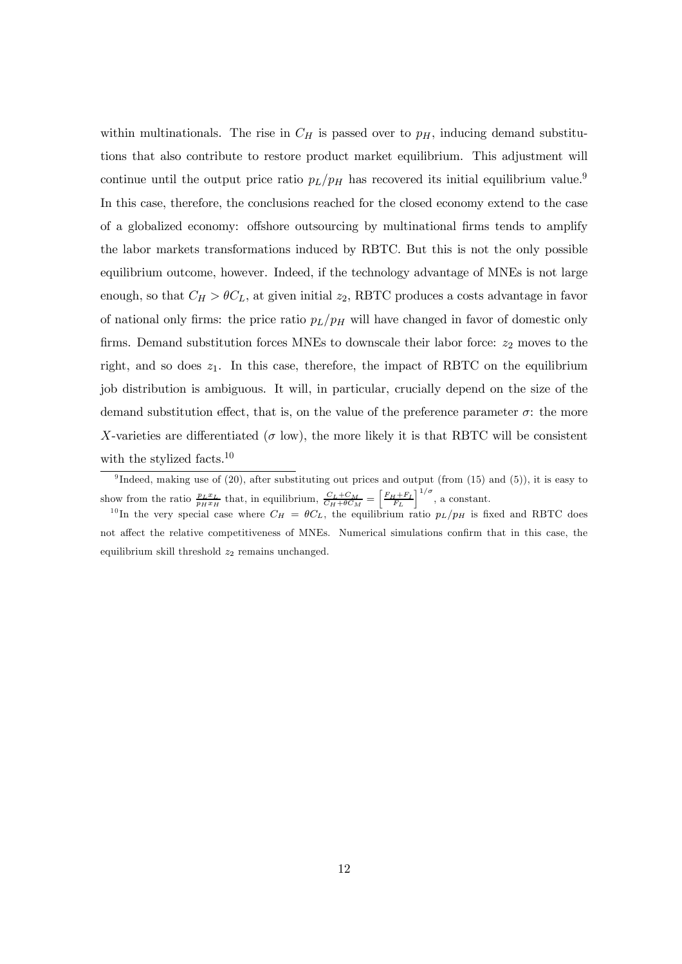within multinationals. The rise in  $C_H$  is passed over to  $p<sub>H</sub>$ , inducing demand substitutions that also contribute to restore product market equilibrium. This adjustment will continue until the output price ratio  $p_L/p_H$  has recovered its initial equilibrium value.<sup>9</sup> In this case, therefore, the conclusions reached for the closed economy extend to the case of a globalized economy: offshore outsourcing by multinational firms tends to amplify the labor markets transformations induced by RBTC. But this is not the only possible equilibrium outcome, however. Indeed, if the technology advantage of MNEs is not large enough, so that  $C_H > \theta C_L$ , at given initial  $z_2$ , RBTC produces a costs advantage in favor of national only firms: the price ratio  $p_L/p_H$  will have changed in favor of domestic only firms. Demand substitution forces MNEs to downscale their labor force:  $z_2$  moves to the right, and so does  $z_1$ . In this case, therefore, the impact of RBTC on the equilibrium job distribution is ambiguous. It will, in particular, crucially depend on the size of the demand substitution effect, that is, on the value of the preference parameter  $\sigma$ : the more X-varieties are differentiated ( $\sigma$  low), the more likely it is that RBTC will be consistent with the stylized facts.<sup>10</sup>

<sup>&</sup>lt;sup>9</sup>Indeed, making use of (20), after substituting out prices and output (from (15) and (5)), it is easy to show from the ratio  $\frac{p_L x_L}{p_H x_H}$  that, in equilibrium,  $\frac{C_L + C_M}{C_H + \theta C_M} = \left[\frac{F_H + F_I}{F_L}\right]^{1/\sigma}$ , a constant.

<sup>&</sup>lt;sup>10</sup>In the very special case where  $C_H = \theta C_L$ , the equilibrium ratio  $p_L/p_H$  is fixed and RBTC does not affect the relative competitiveness of MNEs. Numerical simulations confirm that in this case, the equilibrium skill threshold  $z_2$  remains unchanged.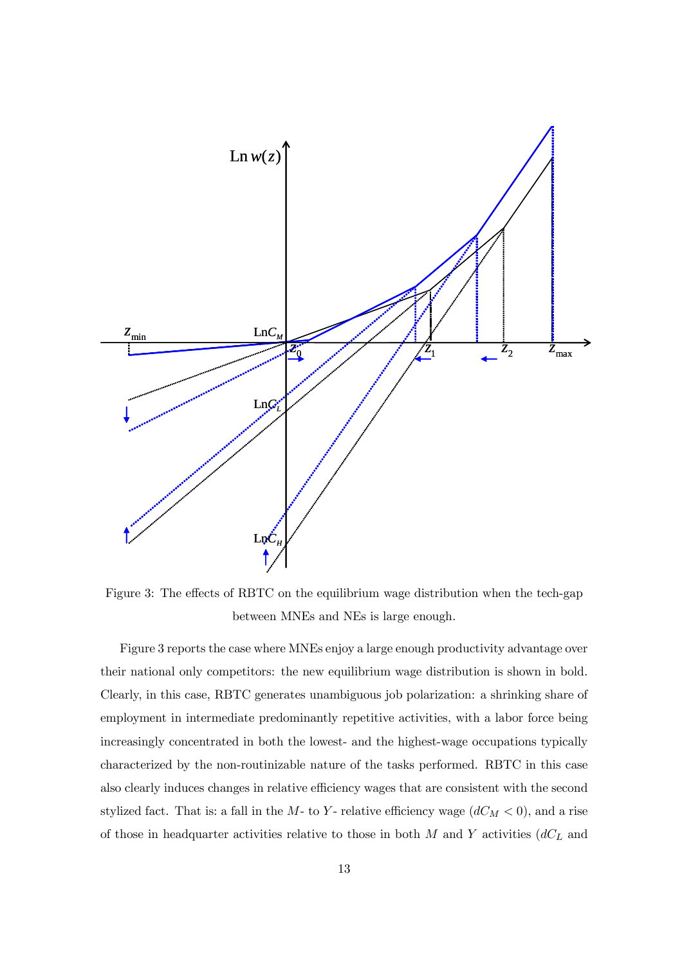

Figure 3: The effects of RBTC on the equilibrium wage distribution when the tech-gap between MNEs and NEs is large enough.

Figure 3 reports the case where MNEs enjoy a large enough productivity advantage over their national only competitors: the new equilibrium wage distribution is shown in bold. Clearly, in this case, RBTC generates unambiguous job polarization: a shrinking share of employment in intermediate predominantly repetitive activities, with a labor force being increasingly concentrated in both the lowest- and the highest-wage occupations typically characterized by the non-routinizable nature of the tasks performed. RBTC in this case also clearly induces changes in relative efficiency wages that are consistent with the second stylized fact. That is: a fall in the  $M$ - to Y- relative efficiency wage  $(dC_M < 0)$ , and a rise of those in headquarter activities relative to those in both  $M$  and  $Y$  activities  $(dC<sub>L</sub>)$  and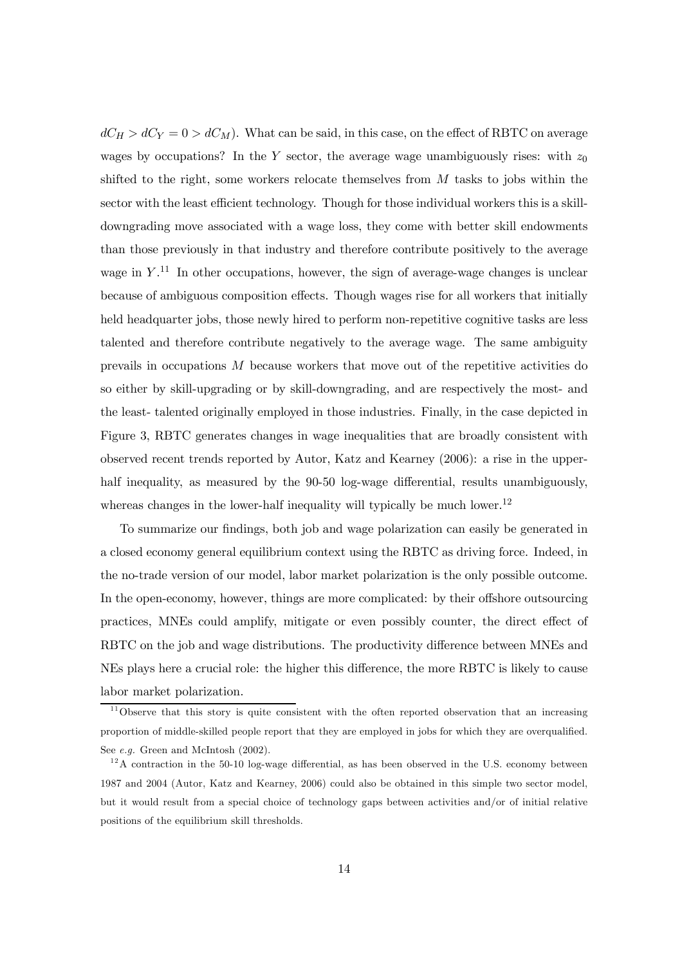$dC_H > dC_V = 0 > dC_M$ . What can be said, in this case, on the effect of RBTC on average wages by occupations? In the Y sector, the average wage unambiguously rises: with  $z_0$ shifted to the right, some workers relocate themselves from  $M$  tasks to jobs within the sector with the least efficient technology. Though for those individual workers this is a skilldowngrading move associated with a wage loss, they come with better skill endowments than those previously in that industry and therefore contribute positively to the average wage in  $Y$ .<sup>11</sup> In other occupations, however, the sign of average-wage changes is unclear because of ambiguous composition effects. Though wages rise for all workers that initially held headquarter jobs, those newly hired to perform non-repetitive cognitive tasks are less talented and therefore contribute negatively to the average wage. The same ambiguity prevails in occupations M because workers that move out of the repetitive activities do so either by skill-upgrading or by skill-downgrading, and are respectively the most- and the least- talented originally employed in those industries. Finally, in the case depicted in Figure 3, RBTC generates changes in wage inequalities that are broadly consistent with observed recent trends reported by Autor, Katz and Kearney (2006): a rise in the upperhalf inequality, as measured by the 90-50 log-wage differential, results unambiguously, whereas changes in the lower-half inequality will typically be much lower.<sup>12</sup>

To summarize our findings, both job and wage polarization can easily be generated in a closed economy general equilibrium context using the RBTC as driving force. Indeed, in the no-trade version of our model, labor market polarization is the only possible outcome. In the open-economy, however, things are more complicated: by their offshore outsourcing practices, MNEs could amplify, mitigate or even possibly counter, the direct effect of RBTC on the job and wage distributions. The productivity difference between MNEs and NEs plays here a crucial role: the higher this difference, the more RBTC is likely to cause labor market polarization.

 $11$ Observe that this story is quite consistent with the often reported observation that an increasing proportion of middle-skilled people report that they are employed in jobs for which they are overqualified. See *e.g.* Green and McIntosh (2002).

 $12$ A contraction in the 50-10 log-wage differential, as has been observed in the U.S. economy between 1987 and 2004 (Autor, Katz and Kearney, 2006) could also be obtained in this simple two sector model, but it would result from a special choice of technology gaps between activities and/or of initial relative positions of the equilibrium skill thresholds.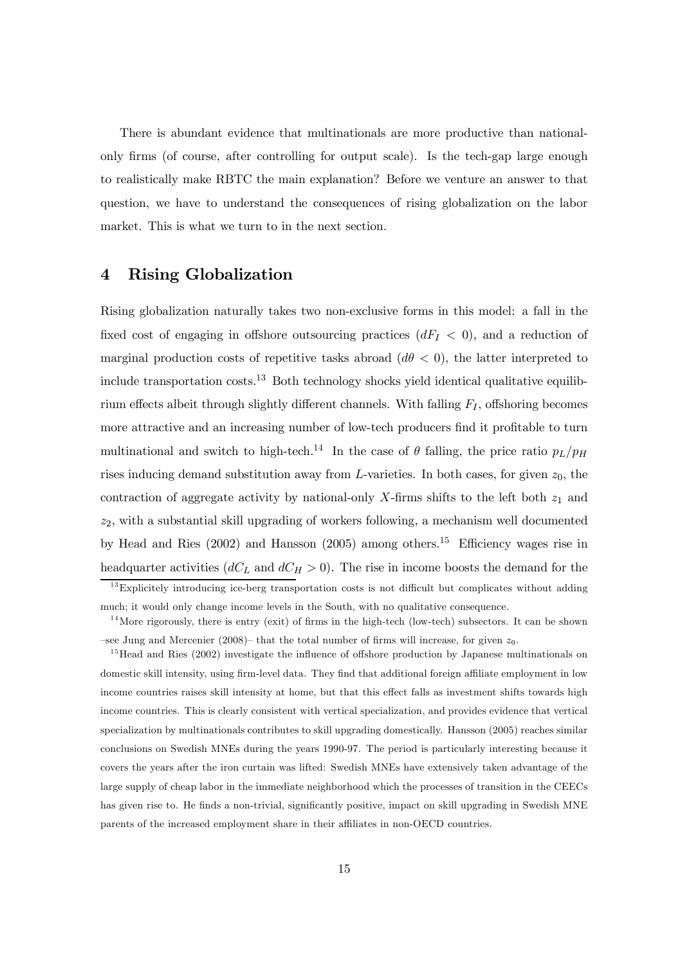There is abundant evidence that multinationals are more productive than nationalonly firms (of course, after controlling for output scale). Is the tech-gap large enough to realistically make RBTC the main explanation? Before we venture an answer to that question, we have to understand the consequences of rising globalization on the labor market. This is what we turn to in the next section.

#### 4 Rising Globalization

Rising globalization naturally takes two non-exclusive forms in this model: a fall in the fixed cost of engaging in offshore outsourcing practices  $(dF<sub>I</sub> < 0)$ , and a reduction of marginal production costs of repetitive tasks abroad  $(d\theta < 0)$ , the latter interpreted to include transportation costs.<sup>13</sup> Both technology shocks yield identical qualitative equilibrium effects albeit through slightly different channels. With falling  $F_I$ , offshoring becomes more attractive and an increasing number of low-tech producers find it profitable to turn multinational and switch to high-tech.<sup>14</sup> In the case of  $\theta$  falling, the price ratio  $p_L/p_H$ rises inducing demand substitution away from  $L$ -varieties. In both cases, for given  $z_0$ , the contraction of aggregate activity by national-only X-firms shifts to the left both  $z_1$  and  $z_2$ , with a substantial skill upgrading of workers following, a mechanism well documented by Head and Ries (2002) and Hansson (2005) among others.<sup>15</sup> Efficiency wages rise in headquarter activities  $(dC<sub>L</sub>$  and  $dC<sub>H</sub> > 0)$ . The rise in income boosts the demand for the

 $13$  Explicitely introducing ice-berg transportation costs is not difficult but complicates without adding much; it would only change income levels in the South, with no qualitative consequence.

 $14$ More rigorously, there is entry (exit) of firms in the high-tech (low-tech) subsectors. It can be shown  $-$ see Jung and Mercenier (2008)– that the total number of firms will increase, for given  $z_0$ .

<sup>&</sup>lt;sup>15</sup>Head and Ries (2002) investigate the influence of offshore production by Japanese multinationals on domestic skill intensity, using firm-level data. They find that additional foreign affiliate employment in low income countries raises skill intensity at home, but that this effect falls as investment shifts towards high income countries. This is clearly consistent with vertical specialization, and provides evidence that vertical specialization by multinationals contributes to skill upgrading domestically. Hansson (2005) reaches similar conclusions on Swedish MNEs during the years 1990-97. The period is particularly interesting because it covers the years after the iron curtain was lifted: Swedish MNEs have extensively taken advantage of the large supply of cheap labor in the immediate neighborhood which the processes of transition in the CEECs has given rise to. He finds a non-trivial, significantly positive, impact on skill upgrading in Swedish MNE parents of the increased employment share in their affiliates in non-OECD countries.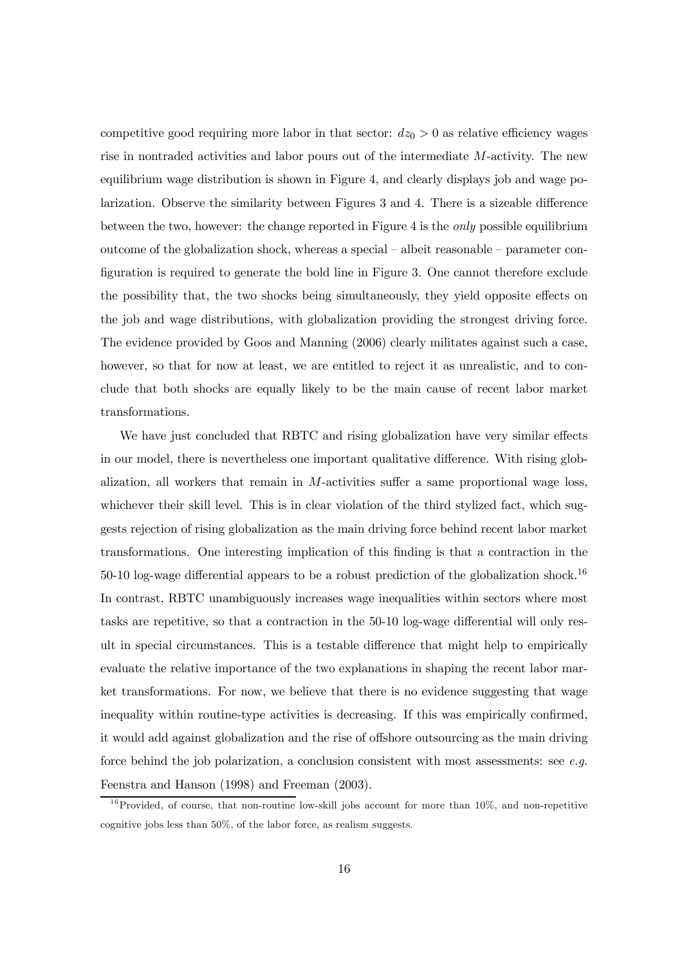competitive good requiring more labor in that sector:  $dz_0 > 0$  as relative efficiency wages rise in nontraded activities and labor pours out of the intermediate M-activity. The new equilibrium wage distribution is shown in Figure 4, and clearly displays job and wage polarization. Observe the similarity between Figures 3 and 4. There is a sizeable difference between the two, however: the change reported in Figure 4 is the only possible equilibrium outcome of the globalization shock, whereas a special — albeit reasonable — parameter configuration is required to generate the bold line in Figure 3. One cannot therefore exclude the possibility that, the two shocks being simultaneously, they yield opposite effects on the job and wage distributions, with globalization providing the strongest driving force. The evidence provided by Goos and Manning (2006) clearly militates against such a case, however, so that for now at least, we are entitled to reject it as unrealistic, and to conclude that both shocks are equally likely to be the main cause of recent labor market transformations.

We have just concluded that RBTC and rising globalization have very similar effects in our model, there is nevertheless one important qualitative difference. With rising globalization, all workers that remain in  $M$ -activities suffer a same proportional wage loss, whichever their skill level. This is in clear violation of the third stylized fact, which suggests rejection of rising globalization as the main driving force behind recent labor market transformations. One interesting implication of this finding is that a contraction in the 50-10 log-wage differential appears to be a robust prediction of the globalization shock.<sup>16</sup> In contrast, RBTC unambiguously increases wage inequalities within sectors where most tasks are repetitive, so that a contraction in the 50-10 log-wage differential will only result in special circumstances. This is a testable difference that might help to empirically evaluate the relative importance of the two explanations in shaping the recent labor market transformations. For now, we believe that there is no evidence suggesting that wage inequality within routine-type activities is decreasing. If this was empirically confirmed, it would add against globalization and the rise of offshore outsourcing as the main driving force behind the job polarization, a conclusion consistent with most assessments: see *e.g.* Feenstra and Hanson (1998) and Freeman (2003).

 $16$ Provided, of course, that non-routine low-skill jobs account for more than 10%, and non-repetitive cognitive jobs less than 50%, of the labor force, as realism suggests.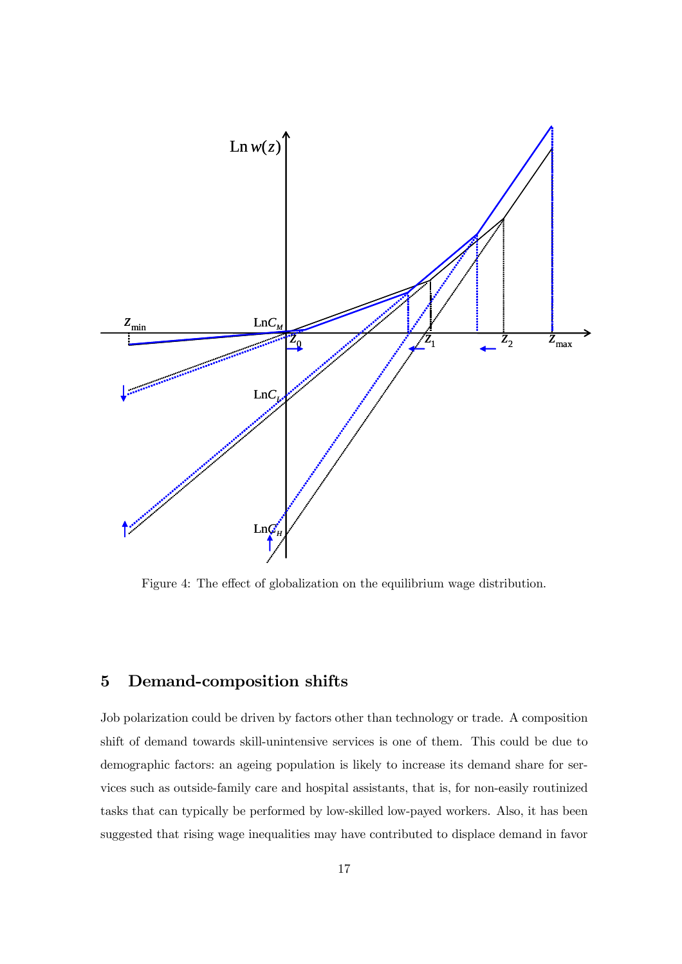

Figure 4: The effect of globalization on the equilibrium wage distribution.

## 5 Demand-composition shifts

Job polarization could be driven by factors other than technology or trade. A composition shift of demand towards skill-unintensive services is one of them. This could be due to demographic factors: an ageing population is likely to increase its demand share for services such as outside-family care and hospital assistants, that is, for non-easily routinized tasks that can typically be performed by low-skilled low-payed workers. Also, it has been suggested that rising wage inequalities may have contributed to displace demand in favor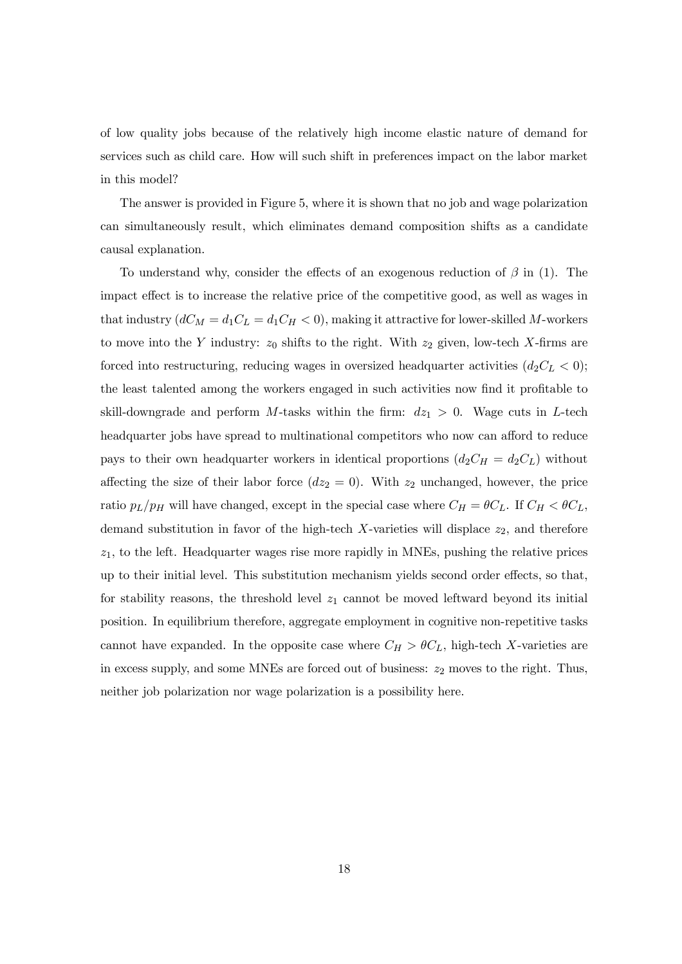of low quality jobs because of the relatively high income elastic nature of demand for services such as child care. How will such shift in preferences impact on the labor market in this model?

The answer is provided in Figure 5, where it is shown that no job and wage polarization can simultaneously result, which eliminates demand composition shifts as a candidate causal explanation.

To understand why, consider the effects of an exogenous reduction of  $\beta$  in (1). The impact effect is to increase the relative price of the competitive good, as well as wages in that industry  $(dC_M = d_1C_L = d_1C_H < 0)$ , making it attractive for lower-skilled M-workers to move into the Y industry:  $z_0$  shifts to the right. With  $z_2$  given, low-tech X-firms are forced into restructuring, reducing wages in oversized headquarter activities  $(d_2C<sub>L</sub> < 0);$ the least talented among the workers engaged in such activities now find it profitable to skill-downgrade and perform M-tasks within the firm:  $dz_1 > 0$ . Wage cuts in L-tech headquarter jobs have spread to multinational competitors who now can afford to reduce pays to their own headquarter workers in identical proportions  $(d_2C_H = d_2C_L)$  without affecting the size of their labor force  $(dz_2 = 0)$ . With  $z_2$  unchanged, however, the price ratio  $p_L/p_H$  will have changed, except in the special case where  $C_H = \theta C_L$ . If  $C_H < \theta C_L$ , demand substitution in favor of the high-tech  $X$ -varieties will displace  $z_2$ , and therefore  $z_1$ , to the left. Headquarter wages rise more rapidly in MNEs, pushing the relative prices up to their initial level. This substitution mechanism yields second order effects, so that, for stability reasons, the threshold level  $z_1$  cannot be moved leftward beyond its initial position. In equilibrium therefore, aggregate employment in cognitive non-repetitive tasks cannot have expanded. In the opposite case where  $C_H > \theta C_L$ , high-tech X-varieties are in excess supply, and some MNEs are forced out of business:  $z_2$  moves to the right. Thus, neither job polarization nor wage polarization is a possibility here.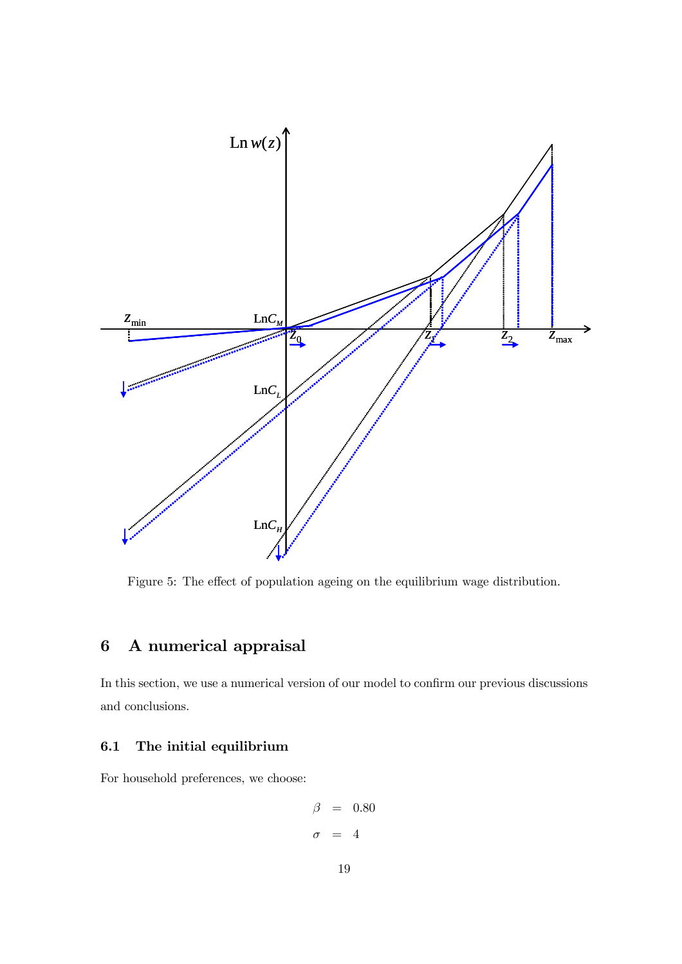

Figure 5: The effect of population ageing on the equilibrium wage distribution.

## 6 A numerical appraisal

In this section, we use a numerical version of our model to confirm our previous discussions and conclusions.

#### 6.1 The initial equilibrium

For household preferences, we choose:

$$
\begin{array}{rcl} \beta & = & 0.80 \\ \sigma & = & 4 \end{array}
$$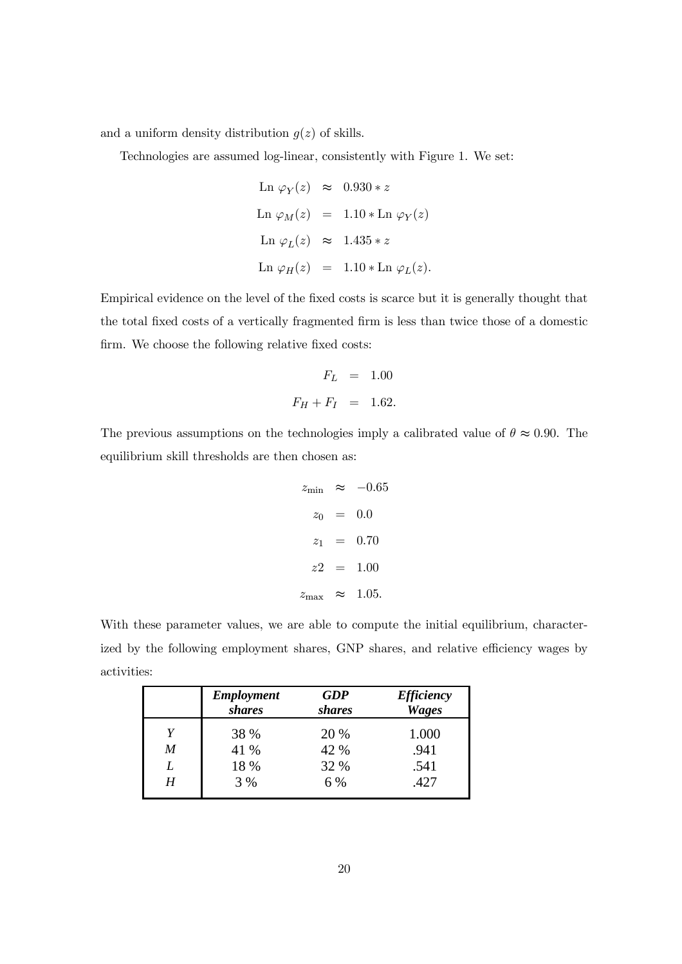and a uniform density distribution  $g(z)$  of skills.

Technologies are assumed log-linear, consistently with Figure 1. We set:

$$
\begin{array}{rcl} \text{Ln}\ \varphi_Y(z) & \approx & 0.930 * z \\ \\ \text{Ln}\ \varphi_M(z) & = & 1.10 * \text{Ln}\ \varphi_Y(z) \\ \\ \text{Ln}\ \varphi_L(z) & \approx & 1.435 * z \\ \\ \text{Ln}\ \varphi_H(z) & = & 1.10 * \text{Ln}\ \varphi_L(z). \end{array}
$$

Empirical evidence on the level of the fixed costs is scarce but it is generally thought that the total fixed costs of a vertically fragmented firm is less than twice those of a domestic firm. We choose the following relative fixed costs:

$$
F_L = 1.00
$$
  

$$
F_H + F_I = 1.62.
$$

The previous assumptions on the technologies imply a calibrated value of  $\theta \approx 0.90$ . The equilibrium skill thresholds are then chosen as:

$$
z_{\min} \approx -0.65
$$

$$
z_0 = 0.0
$$

$$
z_1 = 0.70
$$

$$
z_2 = 1.00
$$

$$
z_{\max} \approx 1.05.
$$

With these parameter values, we are able to compute the initial equilibrium, characterized by the following employment shares, GNP shares, and relative efficiency wages by activities:

|   | <b>Employment</b><br>shares | <b>GDP</b><br><i>shares</i> | <b>Efficiency</b><br><b>Wages</b> |
|---|-----------------------------|-----------------------------|-----------------------------------|
| Y | 38 %                        | 20 %                        | 1.000                             |
| M | 41 %                        | 42 %                        | .941                              |
| L | 18 %                        | 32 %                        | .541                              |
| H | 3 %                         | 6 %                         | .427                              |
|   |                             |                             |                                   |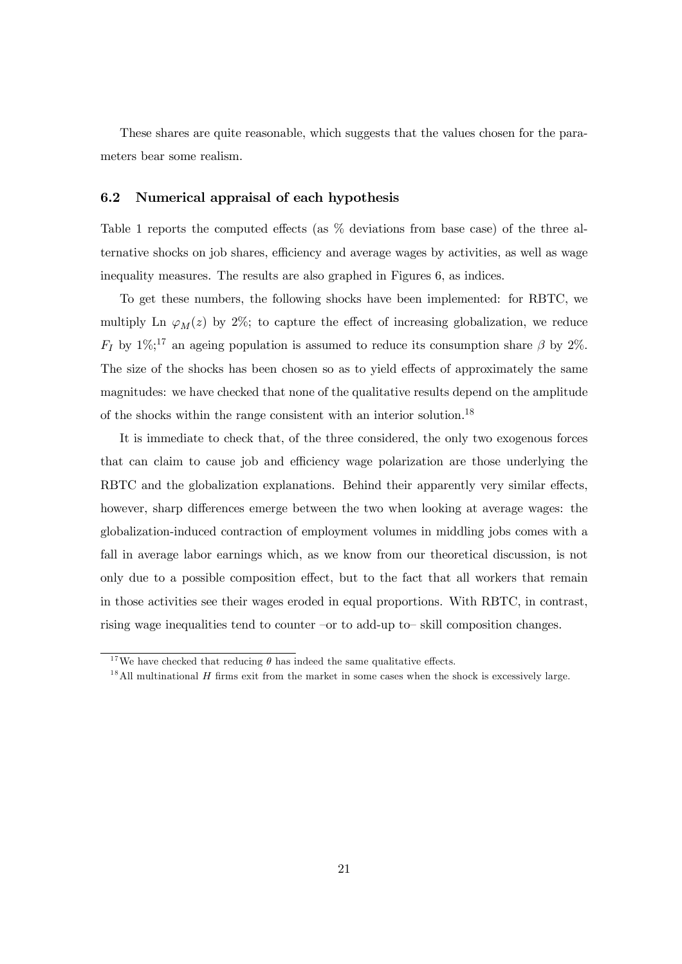These shares are quite reasonable, which suggests that the values chosen for the parameters bear some realism.

#### 6.2 Numerical appraisal of each hypothesis

Table 1 reports the computed effects (as % deviations from base case) of the three alternative shocks on job shares, efficiency and average wages by activities, as well as wage inequality measures. The results are also graphed in Figures 6, as indices.

To get these numbers, the following shocks have been implemented: for RBTC, we multiply Ln  $\varphi_M(z)$  by 2%; to capture the effect of increasing globalization, we reduce  $F_I$  by 1%;<sup>17</sup> an ageing population is assumed to reduce its consumption share  $\beta$  by 2%. The size of the shocks has been chosen so as to yield effects of approximately the same magnitudes: we have checked that none of the qualitative results depend on the amplitude of the shocks within the range consistent with an interior solution.<sup>18</sup>

It is immediate to check that, of the three considered, the only two exogenous forces that can claim to cause job and efficiency wage polarization are those underlying the RBTC and the globalization explanations. Behind their apparently very similar effects, however, sharp differences emerge between the two when looking at average wages: the globalization-induced contraction of employment volumes in middling jobs comes with a fall in average labor earnings which, as we know from our theoretical discussion, is not only due to a possible composition effect, but to the fact that all workers that remain in those activities see their wages eroded in equal proportions. With RBTC, in contrast, rising wage inequalities tend to counter —or to add-up to— skill composition changes.

<sup>&</sup>lt;sup>17</sup>We have checked that reducing  $\theta$  has indeed the same qualitative effects.

 $1<sup>8</sup>$  All multinational H firms exit from the market in some cases when the shock is excessively large.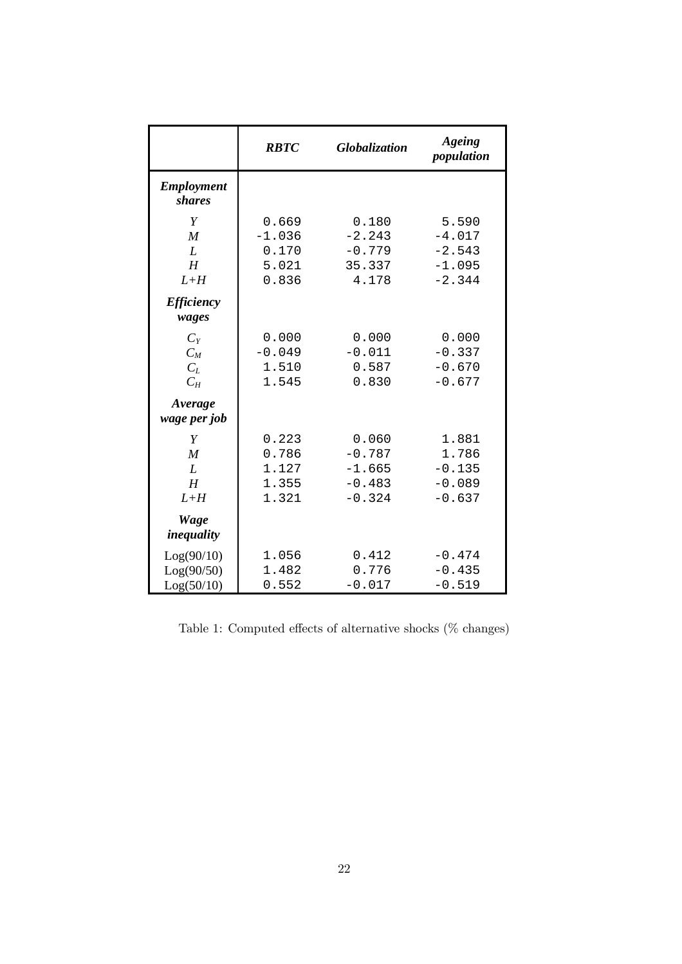|                                          | <b>RBTC</b>                                  | Globalization                                         | Ageing<br>population                                  |
|------------------------------------------|----------------------------------------------|-------------------------------------------------------|-------------------------------------------------------|
| <b>Employment</b><br>shares              |                                              |                                                       |                                                       |
| Y<br>$\boldsymbol{M}$<br>L<br>H<br>$L+H$ | 0.669<br>$-1.036$<br>0.170<br>5.021<br>0.836 | 0.180<br>$-2.243$<br>$-0.779$<br>35.337<br>4.178      | 5.590<br>$-4.017$<br>$-2.543$<br>$-1.095$<br>$-2.344$ |
| <b>Efficiency</b><br>wages               |                                              |                                                       |                                                       |
| $C_{Y}$<br>$C_M$<br>$C_L$<br>$C_H$       | 0.000<br>$-0.049$<br>1.510<br>1.545          | 0.000<br>$-0.011$<br>0.587<br>0.830                   | 0.000<br>$-0.337$<br>$-0.670$<br>$-0.677$             |
| Average<br>wage per job                  |                                              |                                                       |                                                       |
| Y<br>$\boldsymbol{M}$<br>L<br>H<br>$L+H$ | 0.223<br>0.786<br>1.127<br>1.355<br>1.321    | 0.060<br>$-0.787$<br>$-1.665$<br>$-0.483$<br>$-0.324$ | 1.881<br>1.786<br>$-0.135$<br>$-0.089$<br>$-0.637$    |
| <b>Wage</b><br>inequality                |                                              |                                                       |                                                       |
| Log(90/10)<br>Log(90/50)<br>Log(50/10)   | 1.056<br>1.482<br>0.552                      | 0.412<br>0.776<br>$-0.017$                            | $-0.474$<br>$-0.435$<br>$-0.519$                      |

Table 1: Computed effects of alternative shocks (% changes)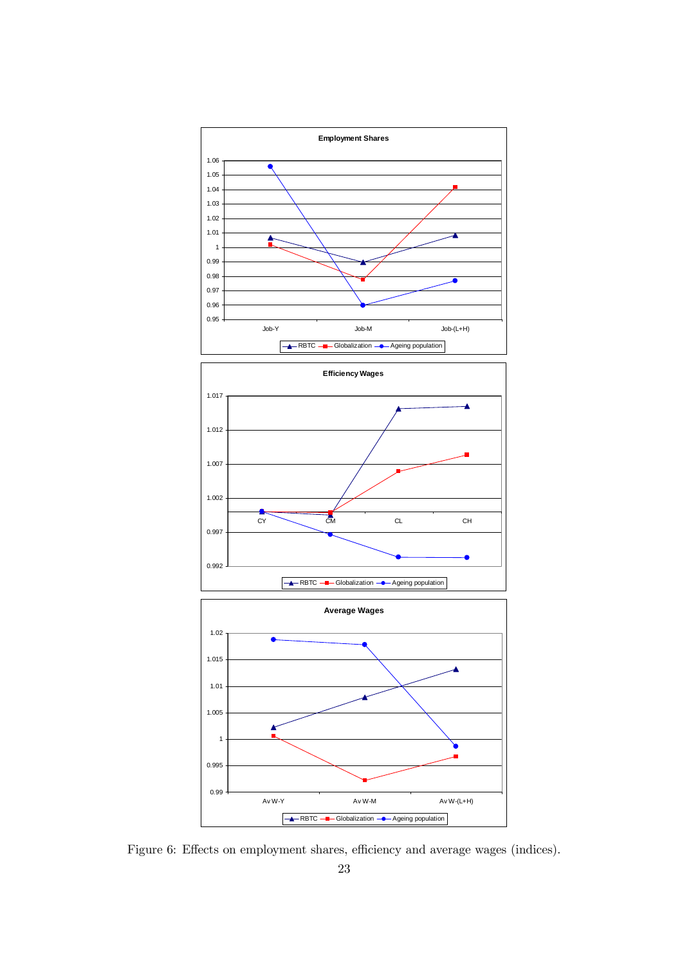

Figure 6: Effects on employment shares, efficiency and average wages (indices).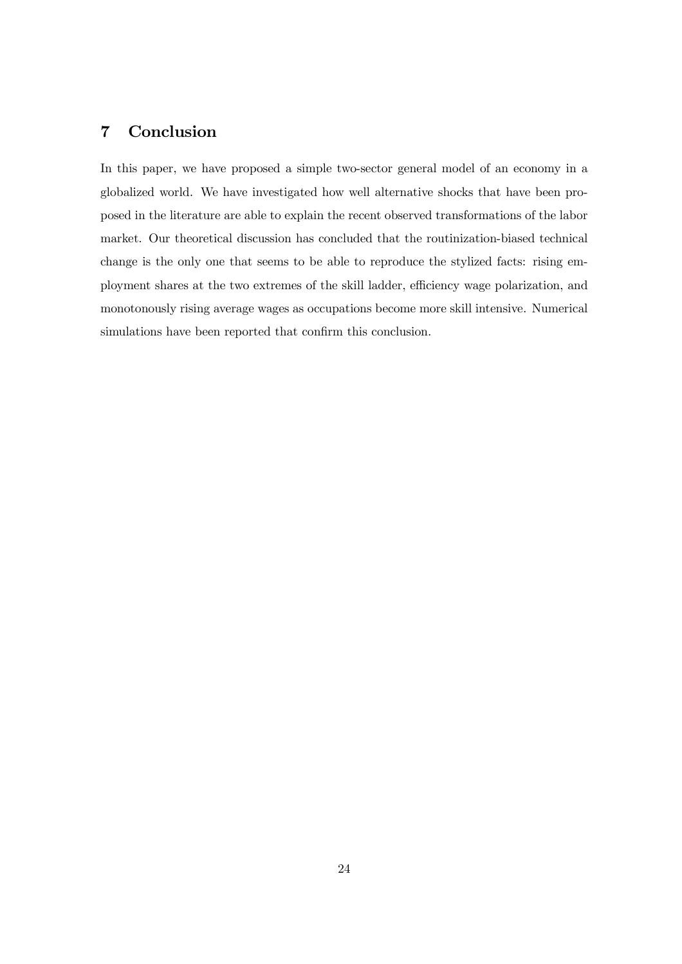## 7 Conclusion

In this paper, we have proposed a simple two-sector general model of an economy in a globalized world. We have investigated how well alternative shocks that have been proposed in the literature are able to explain the recent observed transformations of the labor market. Our theoretical discussion has concluded that the routinization-biased technical change is the only one that seems to be able to reproduce the stylized facts: rising employment shares at the two extremes of the skill ladder, efficiency wage polarization, and monotonously rising average wages as occupations become more skill intensive. Numerical simulations have been reported that confirm this conclusion.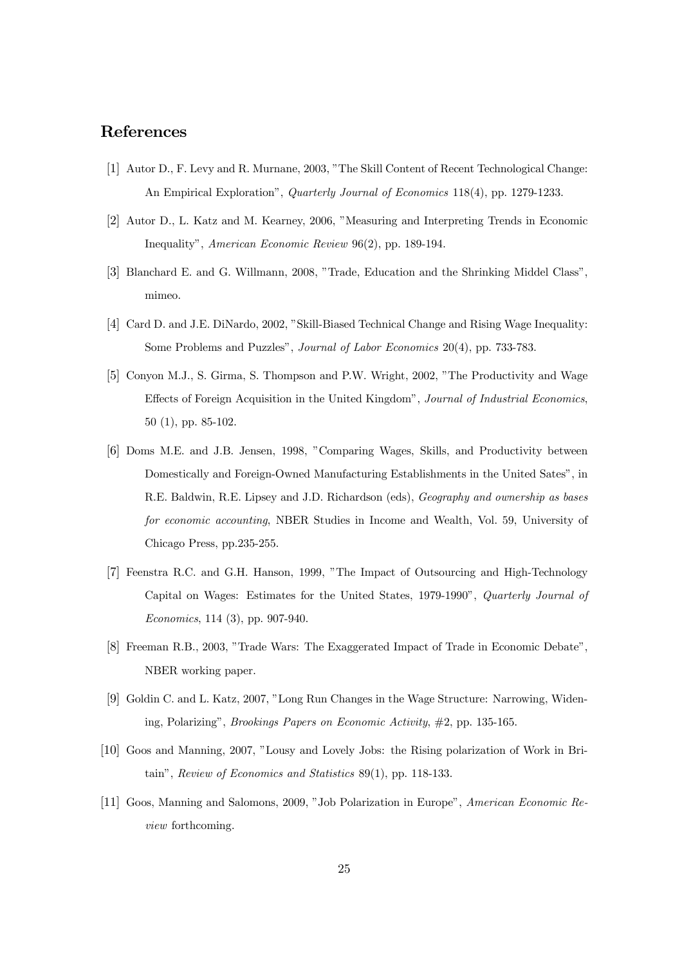## References

- [1] Autor D., F. Levy and R. Murnane, 2003, "The Skill Content of Recent Technological Change: An Empirical Exploration", *Quarterly Journal of Economics* 118(4), pp. 1279-1233.
- [2] Autor D., L. Katz and M. Kearney, 2006, "Measuring and Interpreting Trends in Economic Inequality", *American Economic Review* 96(2), pp. 189-194.
- [3] Blanchard E. and G. Willmann, 2008, "Trade, Education and the Shrinking Middel Class", mimeo.
- [4] Card D. and J.E. DiNardo, 2002, "Skill-Biased Technical Change and Rising Wage Inequality: Some Problems and Puzzles", *Journal of Labor Economics* 20(4), pp. 733-783.
- [5] Conyon M.J., S. Girma, S. Thompson and P.W. Wright, 2002, "The Productivity and Wage Effects of Foreign Acquisition in the United Kingdom", *Journal of Industrial Economics*, 50 (1), pp. 85-102.
- [6] Doms M.E. and J.B. Jensen, 1998, "Comparing Wages, Skills, and Productivity between Domestically and Foreign-Owned Manufacturing Establishments in the United Sates", in R.E. Baldwin, R.E. Lipsey and J.D. Richardson (eds), *Geography and ownership as bases for economic accounting*, NBER Studies in Income and Wealth, Vol. 59, University of Chicago Press, pp.235-255.
- [7] Feenstra R.C. and G.H. Hanson, 1999, "The Impact of Outsourcing and High-Technology Capital on Wages: Estimates for the United States, 1979-1990", *Quarterly Journal of Economics*, 114 (3), pp. 907-940.
- [8] Freeman R.B., 2003, "Trade Wars: The Exaggerated Impact of Trade in Economic Debate", NBER working paper.
- [9] Goldin C. and L. Katz, 2007, "Long Run Changes in the Wage Structure: Narrowing, Widening, Polarizing", *Brookings Papers on Economic Activity*, #2, pp. 135-165.
- [10] Goos and Manning, 2007, "Lousy and Lovely Jobs: the Rising polarization of Work in Britain", *Review of Economics and Statistics* 89(1), pp. 118-133.
- [11] Goos, Manning and Salomons, 2009, "Job Polarization in Europe", *American Economic Review* forthcoming.